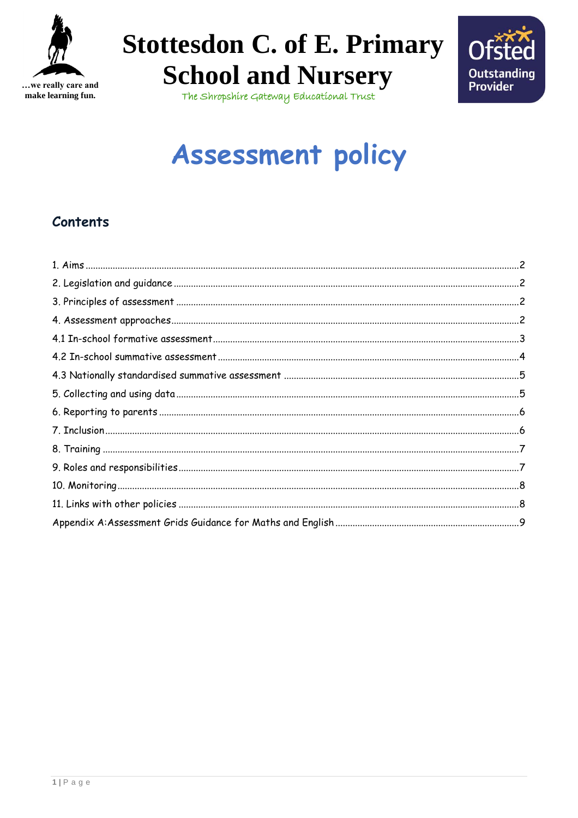

...we really care and make learning fun.

**Stottesdon C. of E. Primary School and Nursery** 

The Shropshire Gateway Educational Trust



# Assessment policy

# **Contents**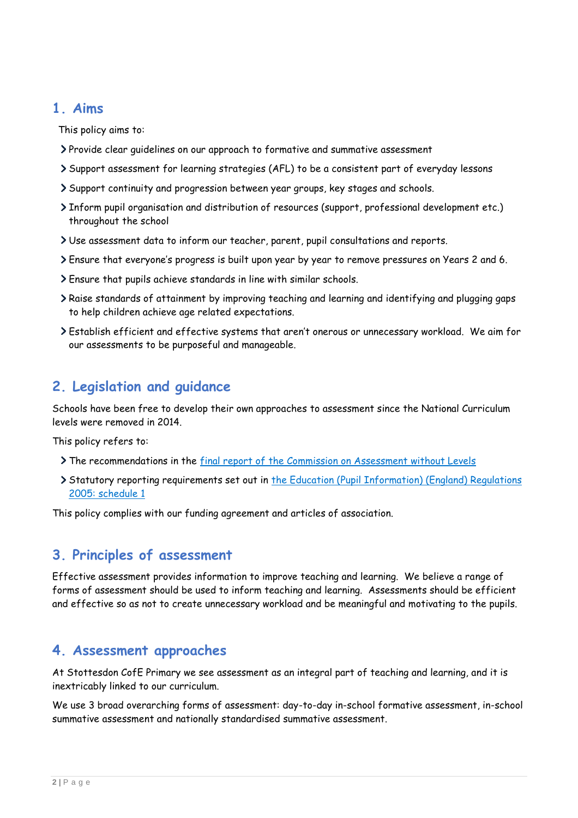#### <span id="page-1-0"></span>**1. Aims**

This policy aims to:

- Provide clear guidelines on our approach to formative and summative assessment
- Support assessment for learning strategies (AFL) to be a consistent part of everyday lessons
- Support continuity and progression between year groups, key stages and schools.
- Inform pupil organisation and distribution of resources (support, professional development etc.) throughout the school
- Use assessment data to inform our teacher, parent, pupil consultations and reports.
- Ensure that everyone's progress is built upon year by year to remove pressures on Years 2 and 6.
- Ensure that pupils achieve standards in line with similar schools.
- Raise standards of attainment by improving teaching and learning and identifying and plugging gaps to help children achieve age related expectations.
- Establish efficient and effective systems that aren't onerous or unnecessary workload. We aim for our assessments to be purposeful and manageable.

## <span id="page-1-1"></span>**2. Legislation and guidance**

Schools have been free to develop their own approaches to assessment since the National Curriculum levels were removed in 2014.

This policy refers to:

- > The recommendations in the [final report of the Commission on Assessment without Levels](https://www.gov.uk/government/publications/commission-on-assessment-without-levels-final-report)
- Statutory reporting requirements set out in the Education (Pupil Information) (England) Regulations [2005: schedule 1](http://www.legislation.gov.uk/uksi/2005/1437/schedule/1/made)

This policy complies with our funding agreement and articles of association.

# <span id="page-1-2"></span>**3. Principles of assessment**

Effective assessment provides information to improve teaching and learning. We believe a range of forms of assessment should be used to inform teaching and learning. Assessments should be efficient and effective so as not to create unnecessary workload and be meaningful and motivating to the pupils.

#### <span id="page-1-3"></span>**4. Assessment approaches**

At Stottesdon CofE Primary we see assessment as an integral part of teaching and learning, and it is inextricably linked to our curriculum.

We use 3 broad overarching forms of assessment: day-to-day in-school formative assessment, in-school summative assessment and nationally standardised summative assessment.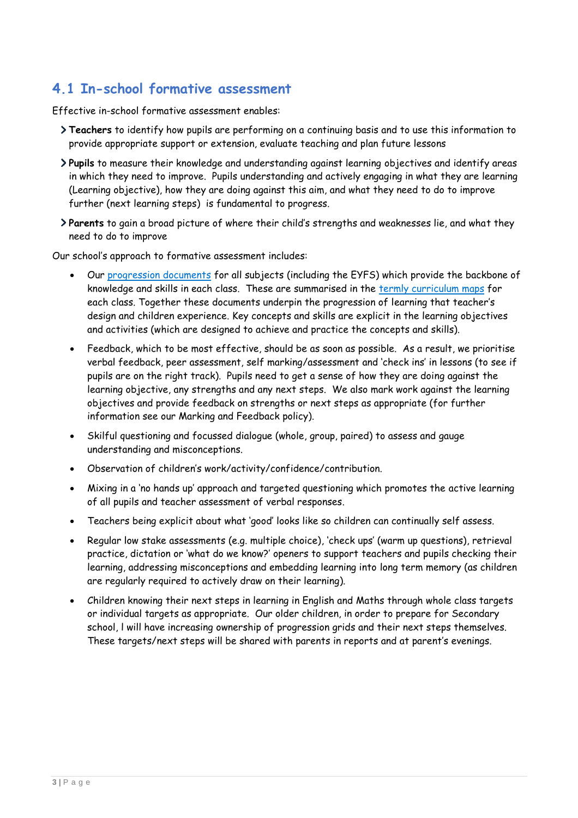## <span id="page-2-0"></span>**4.1 In-school formative assessment**

Effective in-school formative assessment enables:

- **Teachers** to identify how pupils are performing on a continuing basis and to use this information to provide appropriate support or extension, evaluate teaching and plan future lessons
- **Pupils** to measure their knowledge and understanding against learning objectives and identify areas in which they need to improve. Pupils understanding and actively engaging in what they are learning (Learning objective), how they are doing against this aim, and what they need to do to improve further (next learning steps) is fundamental to progress.
- **Parents** to gain a broad picture of where their child's strengths and weaknesses lie, and what they need to do to improve

Our school's approach to formative assessment includes:

- Our [progression documents](http://stottesdon-school.co.uk/learning/curriculum) for all subjects (including the EYFS) which provide the backbone of knowledge and skills in each class. These are summarised in the [termly curriculum maps](http://stottesdon-school.co.uk/learning/curriculum) for each class. Together these documents underpin the progression of learning that teacher's design and children experience. Key concepts and skills are explicit in the learning objectives and activities (which are designed to achieve and practice the concepts and skills).
- Feedback, which to be most effective, should be as soon as possible. As a result, we prioritise verbal feedback, peer assessment, self marking/assessment and 'check ins' in lessons (to see if pupils are on the right track). Pupils need to get a sense of how they are doing against the learning objective, any strengths and any next steps. We also mark work against the learning objectives and provide feedback on strengths or next steps as appropriate (for further information see our Marking and Feedback policy).
- Skilful questioning and focussed dialogue (whole, group, paired) to assess and gauge understanding and misconceptions.
- Observation of children's work/activity/confidence/contribution.
- Mixing in a 'no hands up' approach and targeted questioning which promotes the active learning of all pupils and teacher assessment of verbal responses.
- Teachers being explicit about what 'good' looks like so children can continually self assess.
- Regular low stake assessments (e.g. multiple choice), 'check ups' (warm up questions), retrieval practice, dictation or 'what do we know?' openers to support teachers and pupils checking their learning, addressing misconceptions and embedding learning into long term memory (as children are regularly required to actively draw on their learning).
- Children knowing their next steps in learning in English and Maths through whole class targets or individual targets as appropriate. Our older children, in order to prepare for Secondary school, l will have increasing ownership of progression grids and their next steps themselves. These targets/next steps will be shared with parents in reports and at parent's evenings.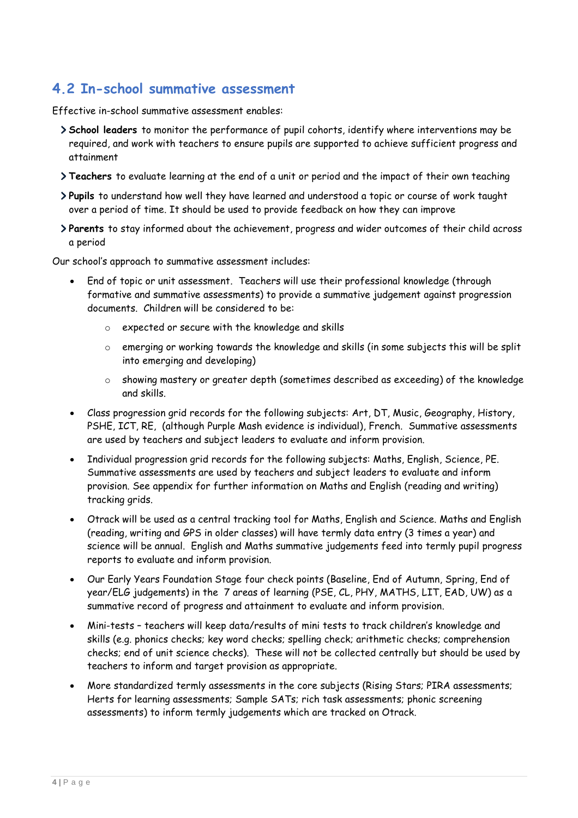## <span id="page-3-0"></span>**4.2 In-school summative assessment**

Effective in-school summative assessment enables:

- **School leaders** to monitor the performance of pupil cohorts, identify where interventions may be required, and work with teachers to ensure pupils are supported to achieve sufficient progress and attainment
- **Teachers** to evaluate learning at the end of a unit or period and the impact of their own teaching
- **Pupils** to understand how well they have learned and understood a topic or course of work taught over a period of time. It should be used to provide feedback on how they can improve
- **Parents** to stay informed about the achievement, progress and wider outcomes of their child across a period

Our school's approach to summative assessment includes:

- End of topic or unit assessment. Teachers will use their professional knowledge (through formative and summative assessments) to provide a summative judgement against progression documents. Children will be considered to be:
	- o expected or secure with the knowledge and skills
	- o emerging or working towards the knowledge and skills (in some subjects this will be split into emerging and developing)
	- o showing mastery or greater depth (sometimes described as exceeding) of the knowledge and skills.
- Class progression grid records for the following subjects: Art, DT, Music, Geography, History, PSHE, ICT, RE, (although Purple Mash evidence is individual), French. Summative assessments are used by teachers and subject leaders to evaluate and inform provision.
- Individual progression grid records for the following subjects: Maths, English, Science, PE. Summative assessments are used by teachers and subject leaders to evaluate and inform provision. See appendix for further information on Maths and English (reading and writing) tracking grids.
- Otrack will be used as a central tracking tool for Maths, English and Science. Maths and English (reading, writing and GPS in older classes) will have termly data entry (3 times a year) and science will be annual. English and Maths summative judgements feed into termly pupil progress reports to evaluate and inform provision.
- Our Early Years Foundation Stage four check points (Baseline, End of Autumn, Spring, End of year/ELG judgements) in the 7 areas of learning (PSE, CL, PHY, MATHS, LIT, EAD, UW) as a summative record of progress and attainment to evaluate and inform provision.
- Mini-tests teachers will keep data/results of mini tests to track children's knowledge and skills (e.g. phonics checks; key word checks; spelling check; arithmetic checks; comprehension checks; end of unit science checks). These will not be collected centrally but should be used by teachers to inform and target provision as appropriate.
- More standardized termly assessments in the core subjects (Rising Stars; PIRA assessments; Herts for learning assessments; Sample SATs; rich task assessments; phonic screening assessments) to inform termly judgements which are tracked on Otrack.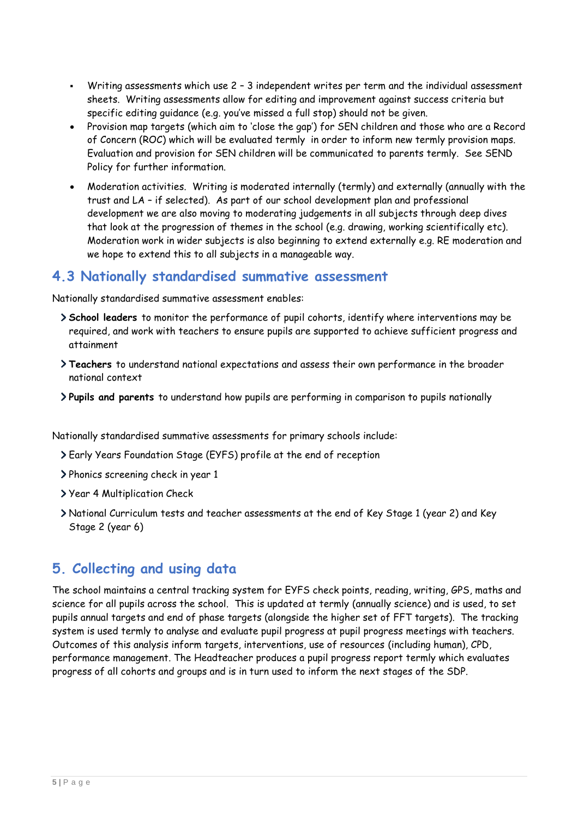- Writing assessments which use 2 3 independent writes per term and the individual assessment sheets. Writing assessments allow for editing and improvement against success criteria but specific editing guidance (e.g. you've missed a full stop) should not be given.
- Provision map targets (which aim to 'close the gap') for SEN children and those who are a Record of Concern (ROC) which will be evaluated termly in order to inform new termly provision maps. Evaluation and provision for SEN children will be communicated to parents termly. See SEND Policy for further information.
- Moderation activities. Writing is moderated internally (termly) and externally (annually with the trust and LA – if selected). As part of our school development plan and professional development we are also moving to moderating judgements in all subjects through deep dives that look at the progression of themes in the school (e.g. drawing, working scientifically etc). Moderation work in wider subjects is also beginning to extend externally e.g. RE moderation and we hope to extend this to all subjects in a manageable way.

## <span id="page-4-0"></span>**4.3 Nationally standardised summative assessment**

Nationally standardised summative assessment enables:

- **School leaders** to monitor the performance of pupil cohorts, identify where interventions may be required, and work with teachers to ensure pupils are supported to achieve sufficient progress and attainment
- **Teachers** to understand national expectations and assess their own performance in the broader national context
- **Pupils and parents** to understand how pupils are performing in comparison to pupils nationally

Nationally standardised summative assessments for primary schools include:

- Early Years Foundation Stage (EYFS) profile at the end of reception
- Phonics screening check in year 1
- Year 4 Multiplication Check
- National Curriculum tests and teacher assessments at the end of Key Stage 1 (year 2) and Key Stage 2 (year 6)

## <span id="page-4-1"></span>**5. Collecting and using data**

The school maintains a central tracking system for EYFS check points, reading, writing, GPS, maths and science for all pupils across the school. This is updated at termly (annually science) and is used, to set pupils annual targets and end of phase targets (alongside the higher set of FFT targets). The tracking system is used termly to analyse and evaluate pupil progress at pupil progress meetings with teachers. Outcomes of this analysis inform targets, interventions, use of resources (including human), CPD, performance management. The Headteacher produces a pupil progress report termly which evaluates progress of all cohorts and groups and is in turn used to inform the next stages of the SDP.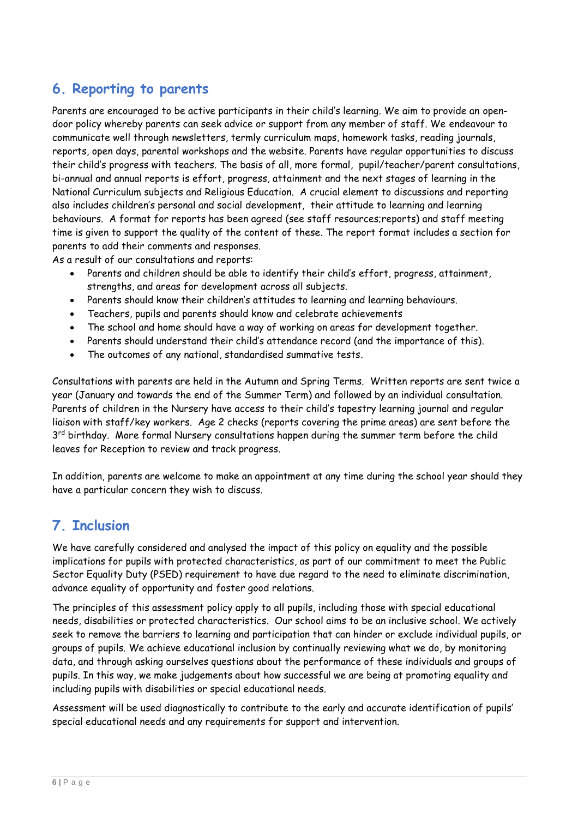## <span id="page-5-0"></span>**6. Reporting to parents**

Parents are encouraged to be active participants in their child's learning. We aim to provide an opendoor policy whereby parents can seek advice or support from any member of staff. We endeavour to communicate well through newsletters, termly curriculum maps, homework tasks, reading journals, reports, open days, parental workshops and the website. Parents have regular opportunities to discuss their child's progress with teachers. The basis of all, more formal, pupil/teacher/parent consultations, bi-annual and annual reports is effort, progress, attainment and the next stages of learning in the National Curriculum subjects and Religious Education. A crucial element to discussions and reporting also includes children's personal and social development, their attitude to learning and learning behaviours. A format for reports has been agreed (see staff resources;reports) and staff meeting time is given to support the quality of the content of these. The report format includes a section for parents to add their comments and responses.

As a result of our consultations and reports:

- Parents and children should be able to identify their child's effort, progress, attainment, strengths, and areas for development across all subjects.
- Parents should know their children's attitudes to learning and learning behaviours.
- Teachers, pupils and parents should know and celebrate achievements
- The school and home should have a way of working on areas for development together.
- Parents should understand their child's attendance record (and the importance of this).
- The outcomes of any national, standardised summative tests.

Consultations with parents are held in the Autumn and Spring Terms. Written reports are sent twice a year (January and towards the end of the Summer Term) and followed by an individual consultation. Parents of children in the Nursery have access to their child's tapestry learning journal and regular liaison with staff/key workers. Age 2 checks (reports covering the prime areas) are sent before the 3<sup>rd</sup> birthday. More formal Nursery consultations happen during the summer term before the child leaves for Reception to review and track progress.

In addition, parents are welcome to make an appointment at any time during the school year should they have a particular concern they wish to discuss.

## <span id="page-5-1"></span>**7. Inclusion**

We have carefully considered and analysed the impact of this policy on equality and the possible implications for pupils with protected characteristics, as part of our commitment to meet the Public Sector Equality Duty (PSED) requirement to have due regard to the need to eliminate discrimination, advance equality of opportunity and foster good relations.

The principles of this assessment policy apply to all pupils, including those with special educational needs, disabilities or protected characteristics. Our school aims to be an inclusive school. We actively seek to remove the barriers to learning and participation that can hinder or exclude individual pupils, or groups of pupils. We achieve educational inclusion by continually reviewing what we do, by monitoring data, and through asking ourselves questions about the performance of these individuals and groups of pupils. In this way, we make judgements about how successful we are being at promoting equality and including pupils with disabilities or special educational needs.

Assessment will be used diagnostically to contribute to the early and accurate identification of pupils' special educational needs and any requirements for support and intervention.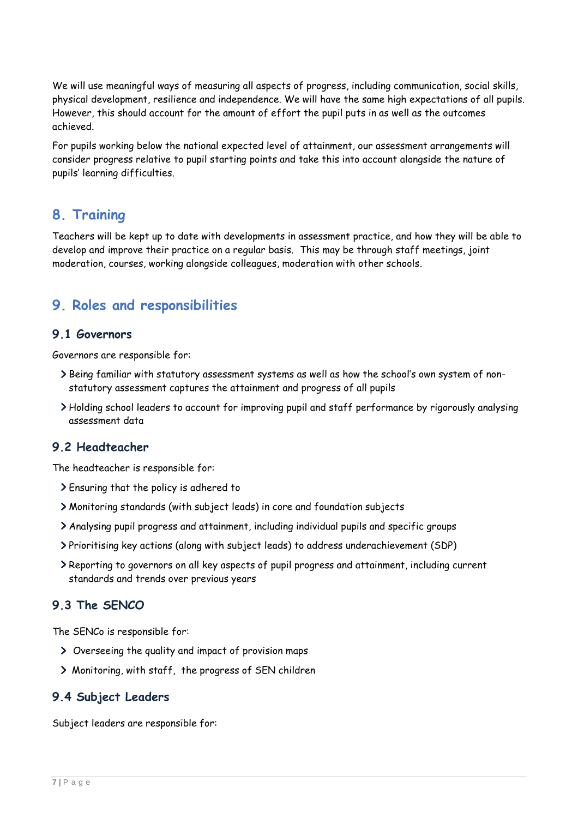We will use meaningful ways of measuring all aspects of progress, including communication, social skills, physical development, resilience and independence. We will have the same high expectations of all pupils. However, this should account for the amount of effort the pupil puts in as well as the outcomes achieved.

For pupils working below the national expected level of attainment, our assessment arrangements will consider progress relative to pupil starting points and take this into account alongside the nature of pupils' learning difficulties.

## <span id="page-6-0"></span>**8. Training**

Teachers will be kept up to date with developments in assessment practice, and how they will be able to develop and improve their practice on a regular basis. This may be through staff meetings, joint moderation, courses, working alongside colleagues, moderation with other schools.

## <span id="page-6-1"></span>**9. Roles and responsibilities**

#### **9.1 Governors**

Governors are responsible for:

- Being familiar with statutory assessment systems as well as how the school's own system of nonstatutory assessment captures the attainment and progress of all pupils
- Holding school leaders to account for improving pupil and staff performance by rigorously analysing assessment data

#### **9.2 Headteacher**

The headteacher is responsible for:

- Ensuring that the policy is adhered to
- Monitoring standards (with subject leads) in core and foundation subjects
- Analysing pupil progress and attainment, including individual pupils and specific groups
- Prioritising key actions (along with subject leads) to address underachievement (SDP)
- Reporting to governors on all key aspects of pupil progress and attainment, including current standards and trends over previous years

#### **9.3 The SENCO**

The SENCo is responsible for:

- Overseeing the quality and impact of provision maps
- Monitoring, with staff, the progress of SEN children

#### **9.4 Subject Leaders**

Subject leaders are responsible for: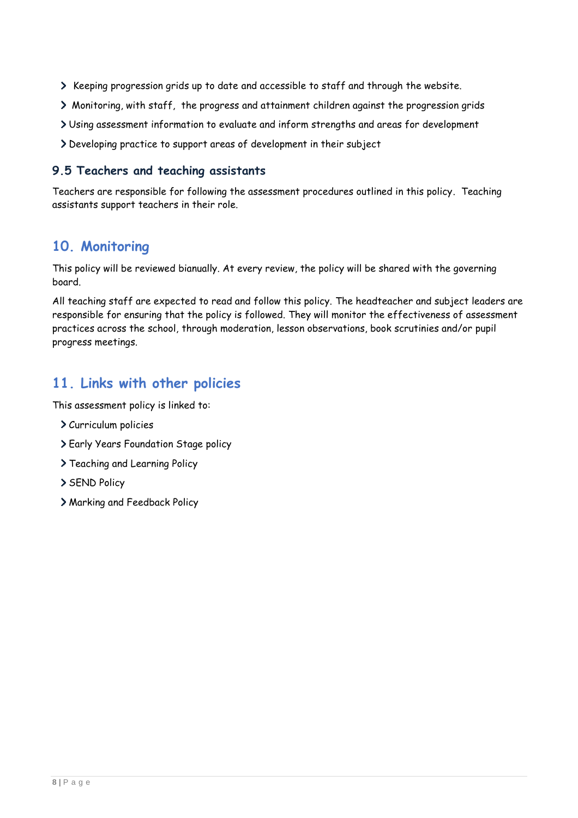- > Keeping progression grids up to date and accessible to staff and through the website.
- Monitoring, with staff, the progress and attainment children against the progression grids
- Using assessment information to evaluate and inform strengths and areas for development
- Developing practice to support areas of development in their subject

#### **9.5 Teachers and teaching assistants**

Teachers are responsible for following the assessment procedures outlined in this policy. Teaching assistants support teachers in their role.

#### <span id="page-7-0"></span>**10. Monitoring**

This policy will be reviewed bianually. At every review, the policy will be shared with the governing board.

All teaching staff are expected to read and follow this policy. The headteacher and subject leaders are responsible for ensuring that the policy is followed. They will monitor the effectiveness of assessment practices across the school, through moderation, lesson observations, book scrutinies and/or pupil progress meetings.

#### <span id="page-7-1"></span>**11. Links with other policies**

This assessment policy is linked to:

- Curriculum policies
- Early Years Foundation Stage policy
- > Teaching and Learning Policy
- > SEND Policy
- Marking and Feedback Policy